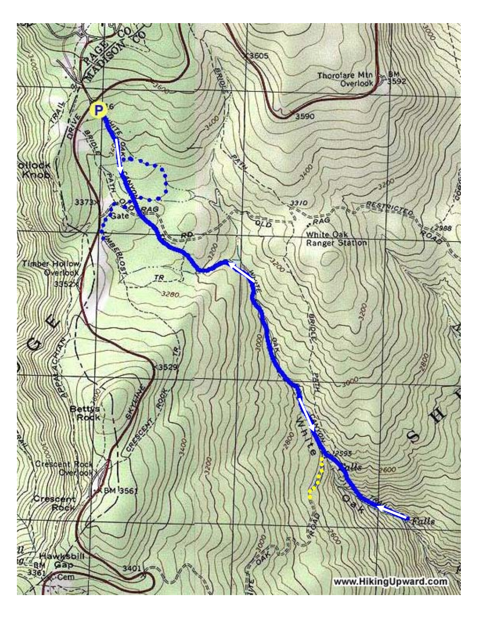